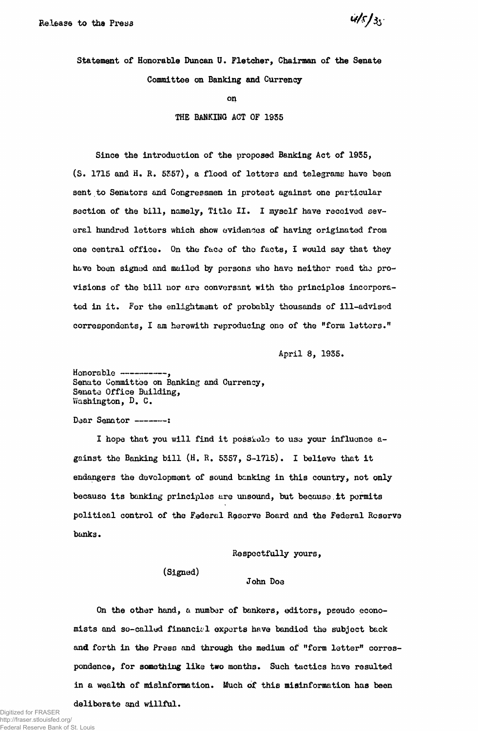$45/35$ 

Statement of Honorable Duncan U. Fletcher, Chairman of **the** Senate Committee on Banking **and** Currency

on

THE BANKING ACT OF 1935

Since the introduction of the proposed Banking Act of 1935, (S. 1715 and H. R. 5557), a flood of letters and telegrams have been sent to Senators and Congressmen in protest against one particular section of the bill, namely, Title II. I myself have received several hundred letters which show evidences of having originated from one central office. On the face of the facts, I would say that they have been signed and mailed by persons who have neither read the provisions of the bill nor are conversant with the principles incorporated in it. For the enlightmant of probably thousands of ill-advised correspondents, I am herewith reproducing one of the "form letters."

April 3, 1935.

Honorable ----Senate Committee on Banking and Currency, Senate Office Building, Washington, D. C.

Dear Senator --------

I hope that you will find it possiolo to U3a your influence against the Banking bill (H. R. 5357, S-1715). I believe that it endangers the development of sound banking in this country, not only because its banking principles are unsound, but because it permits political control of the Federal Reserve Board and the Federal Reserve banks.

Respectfully yours,

(Signed)

### John Doe

On the other hand, a number of bankers, editors, pseudo economists and so-called financial exports have bandied the subject back and forth in the Press and through the medium of "form letter" correspondence, for something like two months. Such tactics have resulted in a wealth of misinformation. Much of this misinformation has been deliberate and willful.

Digitized for FRASER http://fraser.stlouisfed.org/ Federal Reserve Bank of St. Louis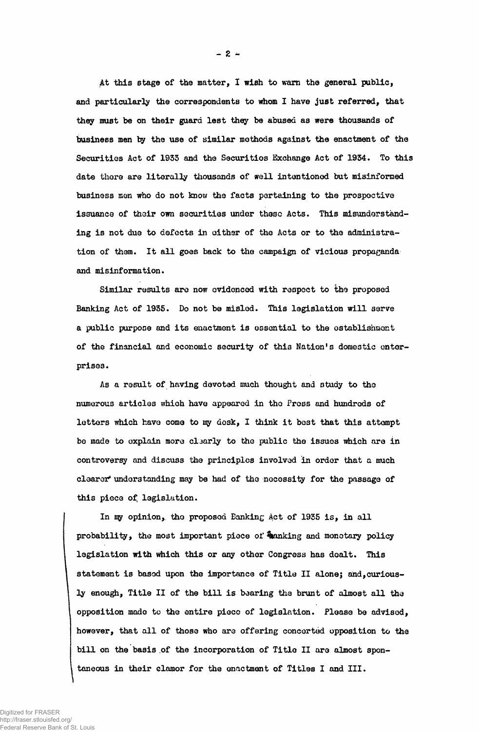**At this stage of the matter, 1 wish to warn the general public, and particularly the correspondents to whom I have just referred, that th^y must be on their guard lest they be abused as were thousands of business men by the use of similar methods against the enactment of the Securities Act of 1933 and the Securities Exchange Act of 1934. To this date there are literally thousands of well intentioned but misinformed** business men who do not know the facts pertaining to the prospective **issuance of their own securities under theso Acts, This misunderstanding is not due to defects in either of the Acts or to the administration of them. It all goes back to the campaign of vicious propaganda and misinformation.**

**Similar results are now evidenced with respect to the proposed Banking Act of 1935. Do not be misled. This legislation will serve a public purpose and its enactment is essential to the establishment of the financial and economic security of this Nation's domestic enterprises.**

**As a result of having devoted nmch thought and study to the numerous articles which have appeared in the Press and hundreds of letters which have come to my desk, I think it best that this attempt be made to explain more claarly to the public the issues which are in controversy and discuss the principles involved in order that a much clearer\* understanding may be had of the necessity for the passage of this piece of, legislation.**

**In iqy opinion, the proposed Banking Act of 1935 is, in all probability, the most important piece of %anking and monotary policy legislation with which this or any other Congress has dealt. This** statement is based upon the importance of Title II alone; and, curious**ly enough, Title II of the bill is bearing the brunt of almost all the opposition made to the entire piece of legislation. Please be advised, however, that all of those who are offering concerted opposition to the bill on the basis of the incorporation of Title II are almost spontaneous in their clamor for the enactment of Titles I and III.**

**- 2 -**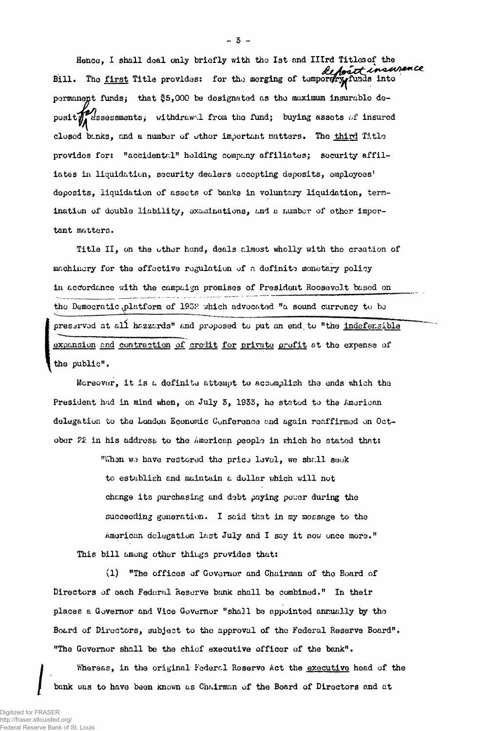Hence, I shall deal only briefly with the 1st and Illrd Titlesof the Bill. The <u>first</u> Title provides: for the merging of temportry funds into permanent funds} that \$5,000 be designated as tho maximum insurable deposit $\mathcal{H}$  assessments; withdrawal from the fund; buying assets of insured closed banks, and a number of other important matters. The third Title provides for: "accidental" holding company affiliates; security affiliates in liquidation, security dealers accepting deposits, employees' deposits, liquidation of assets of banks in voluntary liquidation, termination of double liability, examinations, and a number of other important matters.

Title II, on the other hand, deals almost whelly with the creation of machinery for the effective regulation of a definite monetary policy in accordance with the campaign promises of President Roosevolt based on the Democratic  $\text{phatform}$  of 1932 which advocated "a sound currency to be preservod at all hazzards" and proposed to put an end. to "the indefensible expansion and contraction of credit for private profit at the expense of the public".

Moreover, it is a definite attempt to accomplish the ends which the President had in mind when, on July S, 1933, he stated to the American delegation to the London Economic Conference and again reaffirmed on October 22 in his address to the American people in which he stated that:

"When we have restored the price levol, we shall seek to establish and maintain a dollar which will not change its purchasing and debt paying po;;er during the succeeding generation. I said that in my message to the American delegation last July and I say it now once more." This bill among other things provides that:

(1) "The offices of Governor and Chairman of the Board of Directors of each Federal Reserve bank shall be combined." In their places a Governor and Vice Governor "shall be appointed annually by the Board of Directors, subject to the approval of the Federal Reserve Board". "The Governor shall be the chief executive officer of the bank".

Whereas, in the original Federal Reserve Act the executive head of the bank was to have been known as Chairman of the Board of Directors and at

— 5 —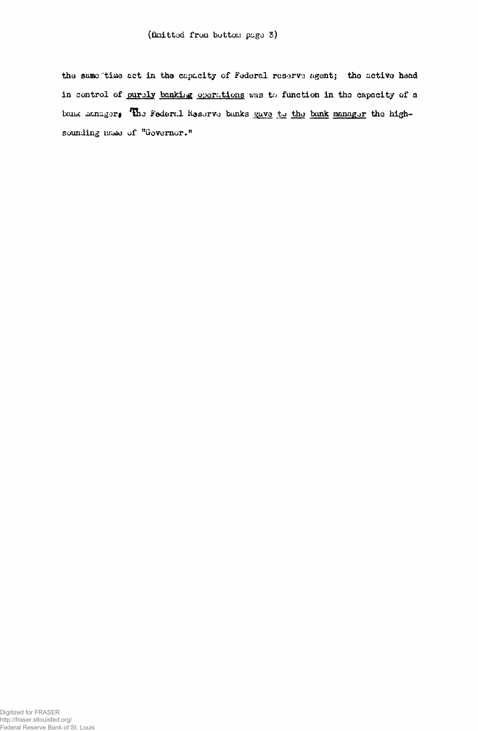the same time act in the capacity of Federal reserve agent; the active head in control of purely banking operations was to function in the capacity of a bank manager, The Federal Reserve banks gave to the bank manager the highsounding name of "Governor."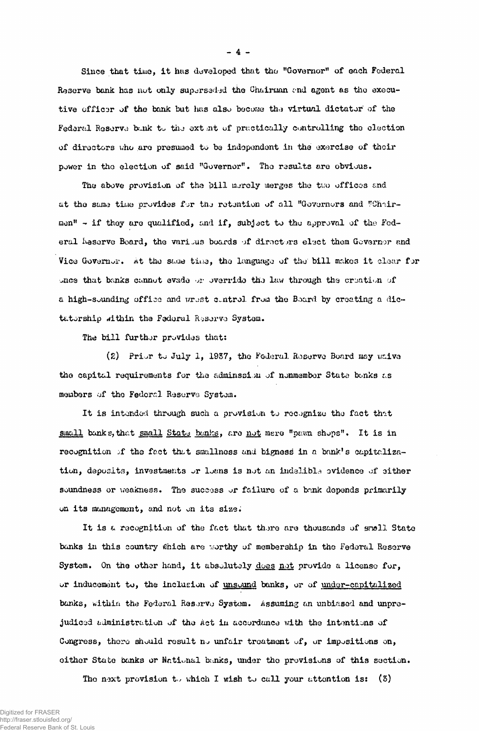Since that time, it has developed that tho "Governor" of each Federal Reserve bank has not only superseded the Chairman end agent as the executive efficsr of the bank but lias also become tha virtual dictator of the Federal Reserve bunk to the extent of practically controlling the election of directors who are presumed to be independent in the exercise of their power in the election of said "Governor". The results are obvious.

The above provision of the bill merely merges the two offices and at the same time provides for the retention of all "Governors and "Chairmen" - if they are qualified, and if, subject to the approval of the Foderal Meserve Board, the various boards of directors elect them Governor and Vice Governor. At the same time, the language of the bill makes it clear for once that banks cannut evade or override the law through the creation of a high-sounding office and wrest control from the Board by creating a dictatorship within the Federal Reserve System.

The bill furthor provides that:

(2) Prior to July 1, 1937, the Federal Reserve Board may waive the capital requirements for the adminssion of nonmember State bonks as members of the Federal Reserve System.

It is intended through such a provision to recognize the fact that small banke, that small State banks, are not mere "pawn shops". It is in recognition of the fact that smallness and bigness in a bank's capitalization, deposits, investments or loans is not an indelible ovidence of either soundness or weakness. The success or failure of a bank depends primarily on its management, and not on its size.

It is a recognition of the fact that thore are thousands of small State banks in this country which are worthy of membership in the Federal Reserve System. On the other hand, it absolutely does not provide a license for, or inducement to, the inclusion of unsound banks, or of under-capitalized banks, within the Federal Resorvo System. Assuming an unbiased and unprejudiced administration of the Act in accordance with the intentions of Congress, there should result no unfair treatment of, or impositions on, either State bonks or National bunks, under tho provisions of this section.

The next provision to which I wish to call your attention is:  $(3)$ 

- 4 -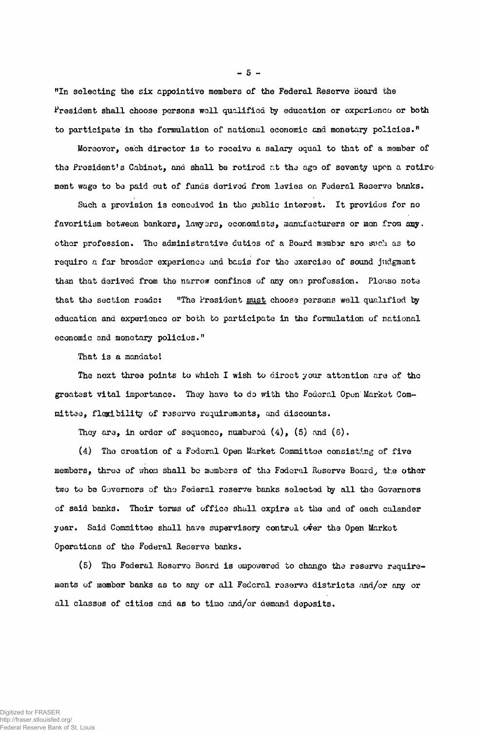"In selecting the six appointive members of the Federal Reserve Board the President shall choose persons well qualified by education or experience or both to participate in the formulation of national economic end monetary policies."

Moreover, each director is to receive a salary oqual to that of a member of the President's Cabinet, and shall be retired at the ago of seventy upon a retire ment wage to bo paid out of funds derived from levies on Federal Reserve banks.

Such a provision is conceived in the public interest. It provides for no favoritism between bankers, lawyers, economists, manufacturers or men from any. other profession. The administrative duties of a Board member are such as to require a far broader experience and basis for the exercise of sound judgment than that derived from the narrow confines of any ono profession. Please note that the section roads: "The President must choose persons well qualified by education and experience or both to participate in the formulation of national economic and monetary policies."

That is a mandate!

The next three points to which I wish to direct your attention are of the greatest vital importance. They have to do with the Federal Open'Market Committee, flexibility of reserve requirements, and discounts.

They are, in order of sequence, numbered  $(4)$ ,  $(5)$  and  $(6)$ .

(4) Tho creation of a Federal Open Market Committee consisting of five members, three of whom shall be members of the Federal Reserve Board, the other two to be Governors of tho Federal reserve banks selected by all the Governors of said banks. Their terms of office shall expire at the end of each calandar year. Said Committee shall have supervisory control over the Open Market Operations of the Federal Reserve banks.

(5) Tho Federal Reserve Board is empowered to change the reserve requirements of member banks as to any or all Federal reserve districts and/or any or all classes of cities and as to time and/or demand doposits.

 $-5 -$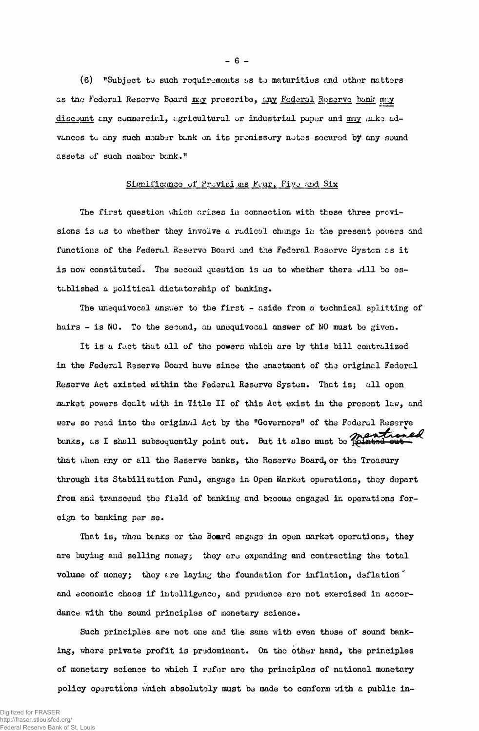(6) "Subject to such requirements as to maturities and other matters as the Federal Reserve Board may prescribe, any Federal Reserve bank may discount any commercial, agricultural or industrial paper and may aake advances to any such member bank on its promissory notes secured by any sound assets of such momber bank."

# Significance of Provisions Feur, Five and Six

The first question which arises in connection with these three provisions is as to whether they involve a radical change in the present powers and functions of the Federal Reserve Board and the Federal Reserve System as it is now constituted. The second question is as to whether there will be established a political dictatorship of banking.

The unequivocal answer to the first - aside from a technical splitting of hairs - is NO. To the second, an unequivocal answer of NO must be given.

It is a fact that all of the powers which are by this bill centralized in the Federal Reserve Board have since the enactment of the original Federal Reserve Act existed within the Federal Reserve System. That is; all open market powers dealt with in Title II of this Act exist in the present law, and were so read into the original Act by the "Governors" of the Federal Reserve banks, as I shall subsequently point out. But it also must be pointed out that when any or all the Reserve banks, the Reserve Board, or the Treasury through its Stabilization Fund, engage in Open Market operations, they depart from and transcend the field of banking and become engaged in operations foreign to banking per se.

That is, when benks or the Board engage in open market operations, they are buying and selling money; they are expanding and contracting the total volume of money; they are laying the foundation for inflation, deflation. and economic chaos if intelligence, and prudence are not exercised in accordance with the sound principles of monetary science.

Such principles are not one and the same with even those of sound banking, where private profit is predominant. On the other hand, the principles of monetary science to which I refer are the principles of national monetary policy operations which absolutely must be made to conform with a public in-

 $-6-$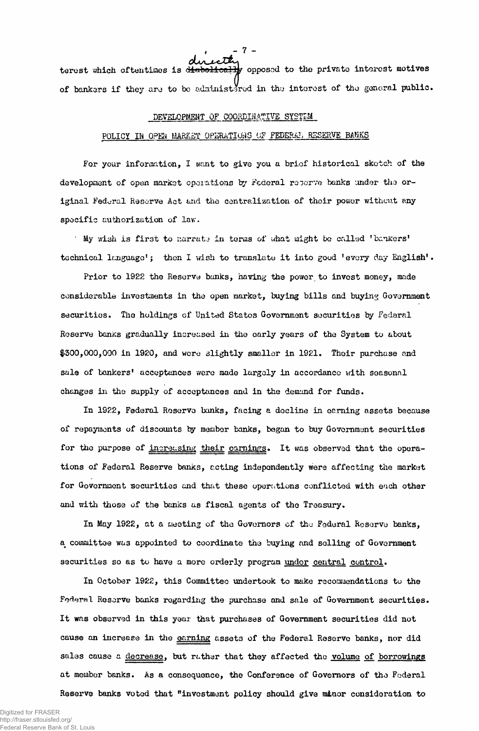ecterned to the private interest motives terest which oftentimes is diabolical of bankers if they are to be administered in the interest of the general public.

#### DEVELOPMENT OF COORDINATIVE SYSTEM

### POLICY IN OPEN MARKET OPERATIONS OF FEDERAL RESERVE BANKS

For your information, I want to give you a brief historical sketch of the development of open market operations by Federal reserve banks under the original Federal Reserve Act and the centralization of their power without any specific authorization of law.

My wish is first to narrate in terms of what might be called 'bankers' technical language'; then I wish to translate it into good 'every day English'.

Prior to 1922 the Reserve bunks, having the power to invest money, made considerable investments in the open market, buying bills and buying Government securities. The holdings of United States Government securities by Federal Reserve banks gradually increased in the early years of the System to about \$300,000,000 in 1920, and wore slightly smaller in 1921. Their purchase and sale of bankers' acceptances were made largely in accordance with seasonal changes in the supply of acceptances and in the demand for funds.

In 1922, Federal Reserve banks, facing a decline in earning assets because of repayments of discounts by member banks, began to buy Government securities for the purpose of increasing their carnings. It was observed that the operations of Federal Reserve banks, acting indepondently were affecting the market for Government securities and that these operations conflicted with each other and with those of the banks as fiscal agents of the Treasury.

In May 1922, at a meeting of the Governors of tho Federal Reserve banks, a committee was appointed to coordinate the buying and solling of Government securities so as to have a more orderly program under central control.

In October 1922, this Committee undertook to make recommendations to the Federal Reserve banks regarding the purchase and sale of Government securities. It was observed in this year that purchases of Government securities did not cause an increase in the earning assets of the Federal Reserve banks, nor did sales cause a decrease, but rather that they affected the volume of borrowings at member banks. As a consequence, the Conference of Governors of tho Federal Reserve banks voted that "investment policy should give minor consideration to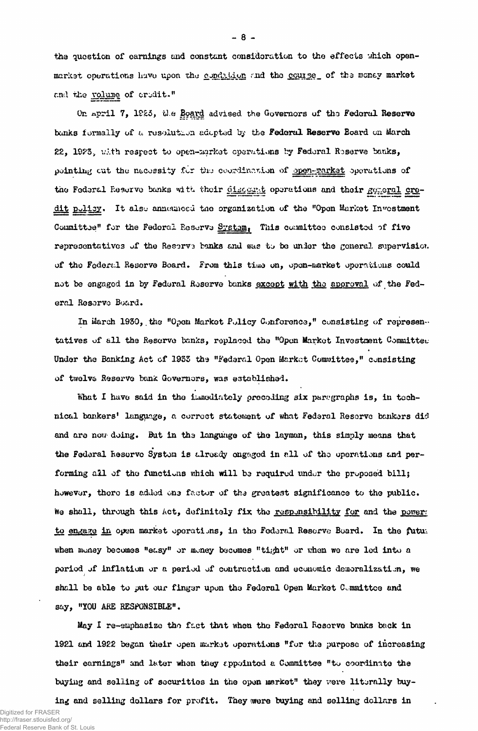the question of earnings and constant consideration to the effects which openmarket operations have upon the conduction and the course of the money market and the volume of credit."

On april 7, 1923, the Board advised the Governors of the Federal Reserve bunks formally of a resolution adopted by the Federal Reserve Board on March 22, 1923, with respect to open-market operations by Federal Reserve banks, pointing out the necessity for the coordination of open-market operations of the Federal Reserve banks with their discount operations and their general oredit pulicy. It also announced the organization of the "Open Market Investment Committee" for the Federal Reserve System, This committee consisted of five representatives of the Reserve banks and was to be under the general supervision of the Federal Reserve Board. From this time on, open-market operations could not be engaged in by Federal Reserve banks except with the approval of the Federal Reserve Board.

In March 1930, the "Open Market Policy Conference," consisting of representatives of all the Reserve banks, replaced the "Open Market Investment Committee Under the Banking Act of 1933 the "Federal Open Market Committee," consisting of twelve Reserve bank Governors, was established.

What I have said in the immediately preceding six paragraphs is, in technical bankers' language, a correct statement of what Federal Reserve bankers did and are now doing. But in the language of the layman, this simply means that the Federal keserve System is already engaged in all of the operations and performing all of the functions which will be required under the proposed bill; however, there is added one factor of the greatest significance to the public. We shall, through this Act, definitely fix the responsibility for and the power: to engage in open market operations, in the Federal Reserve Board. In the future when money becomes "easy" or money becomes "tight" or when we are led into a period of inflation or a period of contraction and economic demoralization, we shall be able to put our finger upon the Federal Open Market Committee and say, "YOU ARE RESPONSIBLE".

May I re-emphasize the fact that when the Federal Reserve banks back in 1921 and 1922 began their open market operations "for the purpose of increasing their earnings" and later when they appointed a Committee "to coordinate the buying and selling of securities in the open market" they were literally buy-

ing and selling dollars for profit. They were buying and selling dollars in

Digitized for FRASER http://fraser.stlouisfed.org/ Federal Reserve Bank of St. Louis  $-8-$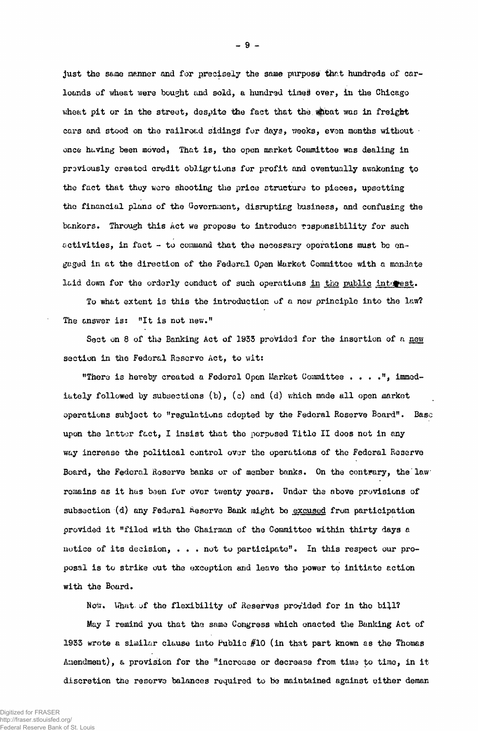just the same manner and for precisely the same purpose that hundreds of carloands of wheat were bought and sold, a hundred times over, in the Chicago wheat pit or in the street, despite the fact that the wheat was in freight cars and stood on the railroad sidings for days, weeks, even months without  $\cdot$ once huving been moved, That is, the open market Committee was dealing in previously created credit obligations for profit and eventually awakening to the fact that they were shooting the price structure to pieces, upsetting the financial plans of the Government, disrupting business, and confusing the bankers. Through this Act we propose to introduce responsibility for such activities, in fact - to command that the necessary operations must be engaged in at the direction of the Federal Open Market Committee with a mandate laid down for the orderly conduct of such operations in the public interest.

To what extent is this the introduction of a new principle into the law? The answer is: "It is not new."

Sect on 8 of the Banking Act of 1933 provided for the insertion of a new section in the Federal Reserve Act, to wit:

"There is hereby created a Federal Open Market Committee . . . . ", immediately followed by subsections (b), (c) and (d) which made all open market operations subject to "regulations adopted by the Federal Reserve Board". Base upon the latter fact, I insist that the porposed Title II does not in any way increase the political control ovor the operations of the Federal Reserve Board, the Federal Reserve banks or of member banks. On the contrary, the law remains as it has been for over twenty years. Under the above provisions of subsection (d) any Federal Reserve Bank might be <u>excused</u> from participation provided it "filed with the Chairman of the Committee within thirty days a notice of its decision, . . . not to participate". In this respect our proposal is to strike out the exception and leave the power to initiate action with the Board.

Now. What of the flexibility of Reserves provided for in the bill?

May I remind you that the same Congress which enacted the Banking Act of 1933 wrote a similar clause into Public #10 (in that part known as the Thomas Amendment), a provision for the "increase or decrease from time to time, in itdiscretion the reserve balances required to be maintained against either deman

- 9 -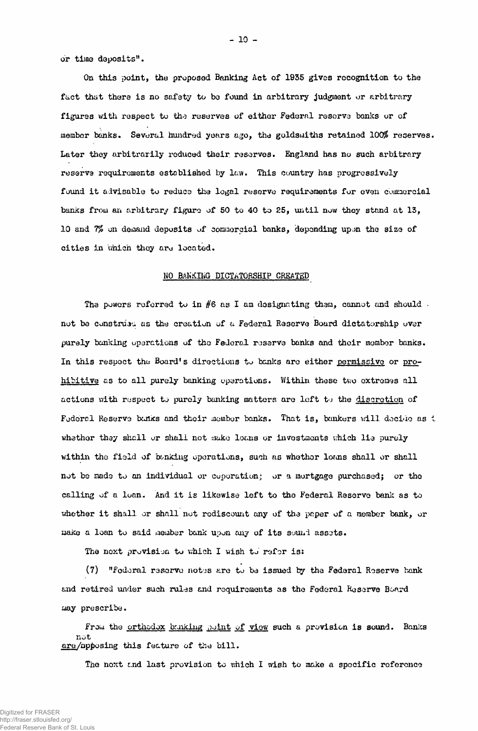or time deposits".

On this point, the proposed Banking Act of 1935 gives recognition to the fact that there is no safety to be found in arbitrary judgment or arbitrary figures with respect to the reserves of either Federal reserve banks or of member banks. Several hundred years ago, the goldsmiths retained 100% reserves. Later they arbitrarily reduced their, reserves. England has no such arbitrary reserve requirements established by law. This country has progressively found it advisable to reduce the legal reserve requirements for even commercial banks from an arbitrary figure of 50 to 40 to 85, until now they stand at 13, 10 and 7% on demand deposits of commercial banks, depending upon the size of cities in which they are located.

# NO BANKING DICTATORSHIP CREATED

The powers referred to in  $#6$  as I am designating them, cannot and should . not be constniau as the creation of a Federal Reserve Board dictatorship over purely banking operations of the Federal reserve banks and their member banks. In this respect the Board's directions to banks are either permissive or prohibitive as to all purely banking operations. Within these two extremes all actions with respect to purely banking matters are left to the discretion of Federal Reserve bunks and their member banks. That is, bankers will decide as  $t$ whether they shall or shall not sake loans or investments which lie purely within the field of banking operations, such as whether loans shall or shall not be nado to an individual or coporation; or a mortgage purchased; or tho calling of a loan. And it is likewise left to the Federal Reserve bank as to whether it shall or shall not rediscount any of the paper of a member bank, or make a loan to said member bank upon any of its sound assets.

The next provision to which I wish to refor is:

(7) "Federal reserve not-ss are to be issued by the Federal Roserve bank and retired under such rules and requirements as the Federal Reserve Board may prescribe.

From the <u>orthodox bunking point of view</u> such a provision is sound. Banks not are/opposing this feature of the bill.

The next end last provision to which 1 wish to make a specific reference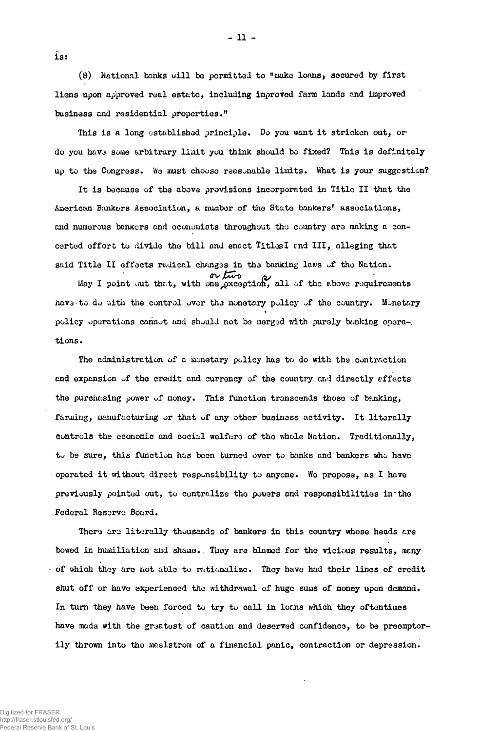$(8)$  National banks will be permitted to "make loans, secured by first liens upon approved real estate, including improved farm lands and improved business and residential properties."

-Il-

This is a long established principle. Do you want it stricken out, or do you havo some arbitrary liiait you think should bo fixed? This is definitely up to the Congress. We must choose reasonable limits. What is your suggestion?

It is because of the above provisions incorporated in Title II that the American Bankers Association, a number of the State bankers' associations, and numerous bankers and economists throughout tho country are making a concerted effort to divide tho bill and enact TitlesI end III, alleging that said Title II effects radical changes in the banking laws of the Nation.

 $M_{\text{avg}}$  or  $\mu$  or  $\mu$  all of the above requirements hava to do with the control over the monetary policy of the country. Monetary policy operations cannot and should not be merged with purely banking operations.

The administration of a monetary policy has to do with the contraction and expansion of the credit and currency of the country and directly affects the purchasing power of noney. This function transcends those of banking, farming, manufacturing or that of any other business activity. It literally controls the economic and social welfare of the whole Nation. Traditionally, to be sure, this function has boon turned over to banks and bankers who have operated it without direct responsibility to anyone. We propose, as I have previously pointed out, to centralize the powers and responsibilities in the Federal Ressrv® Board.

There are literally thousands of bankers in this country whose heads are bowed in humiliation and shame. . They are blamed for the vicious results, many of which they are not able to rationalize. They have had their lines of credit shut off or have experienced the withdrawal of huge sums of money upon demand. In turn they have been forced to try to call in loans which they oftentimes have made with the greatest of caution and deserved confidence, to be preemptorily thrown into the maelstrom of a financial panic, contraction or depression.

ls: